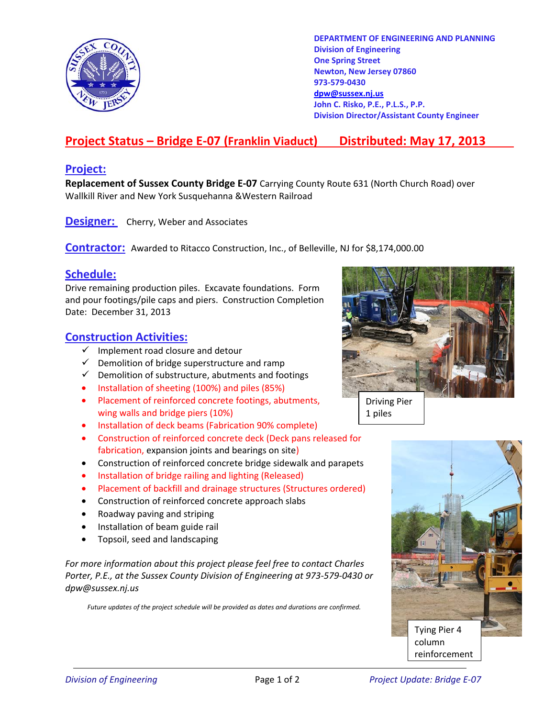

**DEPARTMENT OF ENGINEERING AND PLANNING Division of Engineering One Spring Street Newton, New Jersey 07860 973-579-0430 dpw@sussex.nj.us John C. Risko, P.E., P.L.S., P.P. Division Director/Assistant County Engineer** 

# **Project Status – Bridge E-07 (Franklin Viaduct) Distributed: May 17, 2013**

#### **Project:**

**Replacement of Sussex County Bridge E-07** Carrying County Route 631 (North Church Road) over Wallkill River and New York Susquehanna &Western Railroad

**Designer:** Cherry, Weber and Associates

**Contractor:** Awarded to Ritacco Construction, Inc., of Belleville, NJ for \$8,174,000.00

#### **Schedule:**

Drive remaining production piles. Excavate foundations. Form and pour footings/pile caps and piers. Construction Completion Date: December 31, 2013

### **Construction Activities:**

- $\checkmark$  Implement road closure and detour
- $\checkmark$  Demolition of bridge superstructure and ramp
- $\checkmark$  Demolition of substructure, abutments and footings
- Installation of sheeting (100%) and piles (85%)
- Placement of reinforced concrete footings, abutments, wing walls and bridge piers (10%)
- Installation of deck beams (Fabrication 90% complete)
- Construction of reinforced concrete deck (Deck pans released for fabrication, expansion joints and bearings on site)
- Construction of reinforced concrete bridge sidewalk and parapets
- Installation of bridge railing and lighting (Released)
- Placement of backfill and drainage structures (Structures ordered)
- Construction of reinforced concrete approach slabs
- Roadway paving and striping
- Installation of beam guide rail
- Topsoil, seed and landscaping

*For more information about this project please feel free to contact Charles Porter, P.E., at the Sussex County Division of Engineering at 973-579-0430 or dpw@sussex.nj.us* 

*Future updates of the project schedule will be provided as dates and durations are confirmed.* 



Driving Pier 1 piles